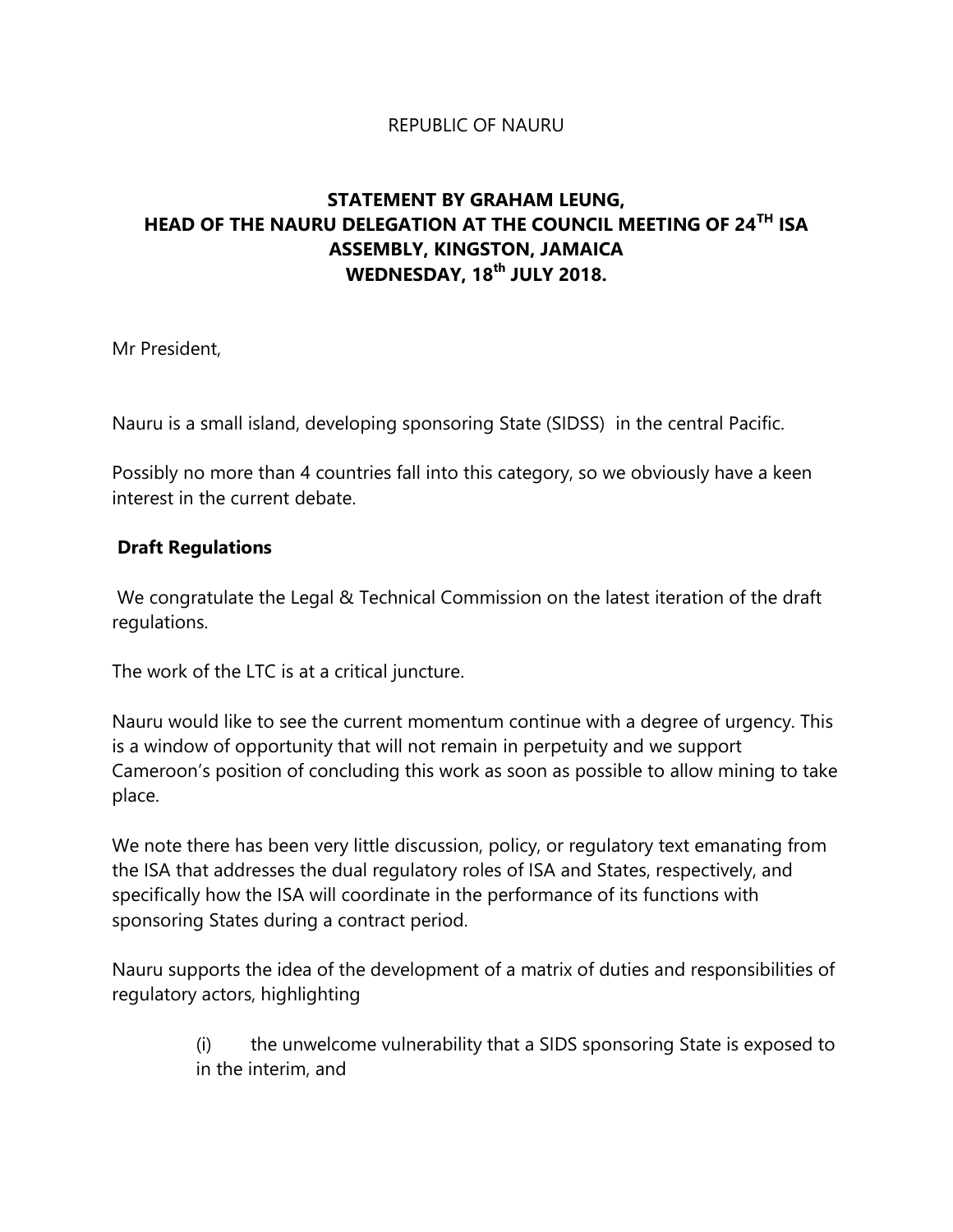#### REPUBLIC OF NAURU

# **STATEMENT BY GRAHAM LEUNG, HEAD OF THE NAURU DELEGATION AT THE COUNCIL MEETING OF 24TH ISA ASSEMBLY, KINGSTON, JAMAICA WEDNESDAY, 18th JULY 2018.**

Mr President,

Nauru is a small island, developing sponsoring State (SIDSS) in the central Pacific.

Possibly no more than 4 countries fall into this category, so we obviously have a keen interest in the current debate.

#### **Draft Regulations**

We congratulate the Legal & Technical Commission on the latest iteration of the draft regulations.

The work of the LTC is at a critical juncture.

Nauru would like to see the current momentum continue with a degree of urgency. This is a window of opportunity that will not remain in perpetuity and we support Cameroon's position of concluding this work as soon as possible to allow mining to take place.

We note there has been very little discussion, policy, or regulatory text emanating from the ISA that addresses the dual regulatory roles of ISA and States, respectively, and specifically how the ISA will coordinate in the performance of its functions with sponsoring States during a contract period.

Nauru supports the idea of the development of a matrix of duties and responsibilities of regulatory actors, highlighting

> (i) the unwelcome vulnerability that a SIDS sponsoring State is exposed to in the interim, and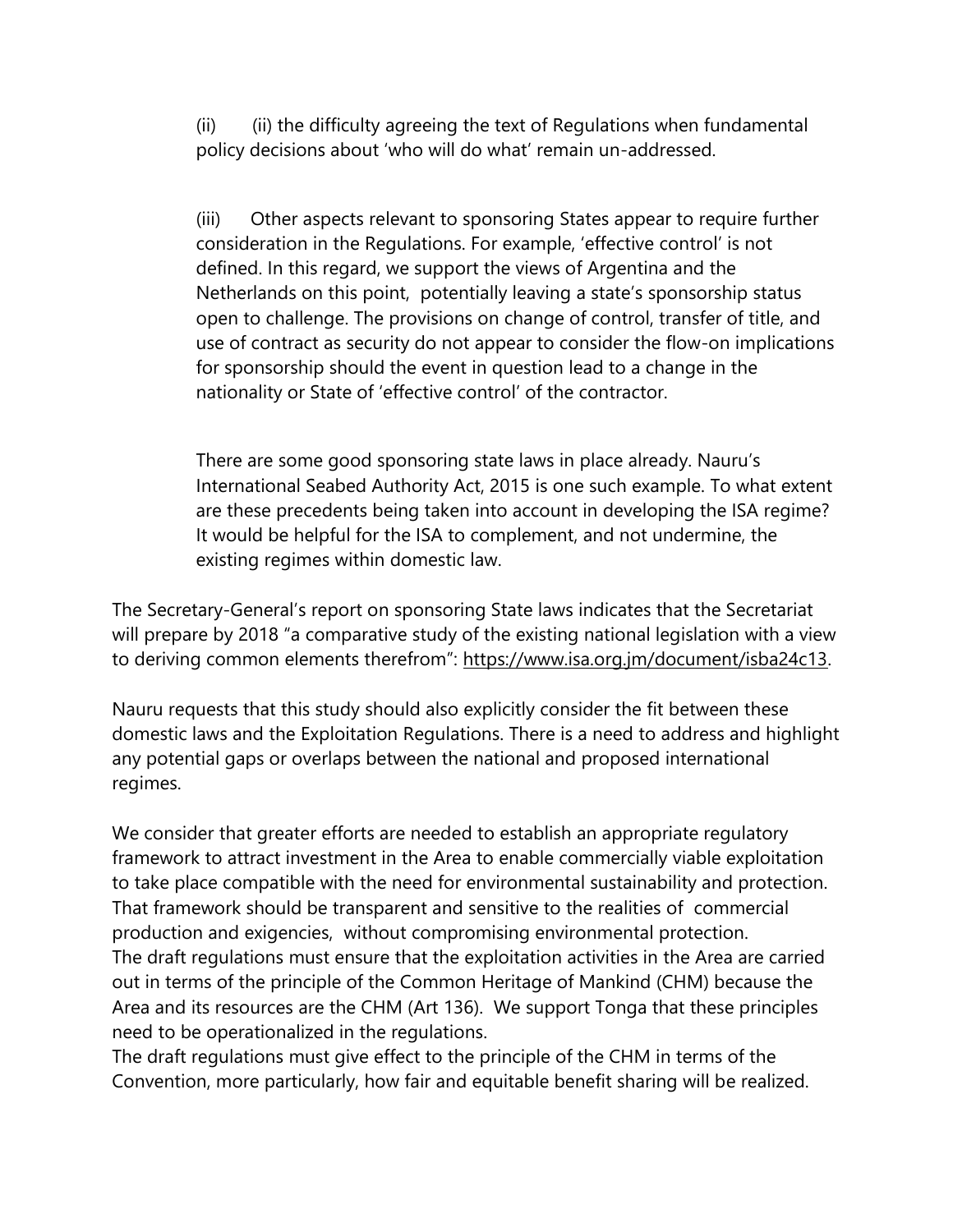(ii) (ii) the difficulty agreeing the text of Regulations when fundamental policy decisions about 'who will do what' remain un-addressed.

(iii) Other aspects relevant to sponsoring States appear to require further consideration in the Regulations. For example, 'effective control' is not defined. In this regard, we support the views of Argentina and the Netherlands on this point, potentially leaving a state's sponsorship status open to challenge. The provisions on change of control, transfer of title, and use of contract as security do not appear to consider the flow-on implications for sponsorship should the event in question lead to a change in the nationality or State of 'effective control' of the contractor.

There are some good sponsoring state laws in place already. Nauru's International Seabed Authority Act, 2015 is one such example. To what extent are these precedents being taken into account in developing the ISA regime? It would be helpful for the ISA to complement, and not undermine, the existing regimes within domestic law.

The Secretary-General's report on sponsoring State laws indicates that the Secretariat will prepare by 2018 "a comparative study of the existing national legislation with a view to deriving common elements therefrom": [https://www.isa.org.jm/document/isba24c13.](https://url.emailprotection.link/?a3Ujk_1c08yVjZo86CypL-EfMK-Wzu2TjH92TMHhKb-ccPtelP3cs06a2mS7ROXDJRA7Z0qWfYQZVVTtSP2J6RA~~)

Nauru requests that this study should also explicitly consider the fit between these domestic laws and the Exploitation Regulations. There is a need to address and highlight any potential gaps or overlaps between the national and proposed international regimes.

We consider that greater efforts are needed to establish an appropriate regulatory framework to attract investment in the Area to enable commercially viable exploitation to take place compatible with the need for environmental sustainability and protection. That framework should be transparent and sensitive to the realities of commercial production and exigencies, without compromising environmental protection. The draft regulations must ensure that the exploitation activities in the Area are carried out in terms of the principle of the Common Heritage of Mankind (CHM) because the Area and its resources are the CHM (Art 136). We support Tonga that these principles need to be operationalized in the regulations.

The draft regulations must give effect to the principle of the CHM in terms of the Convention, more particularly, how fair and equitable benefit sharing will be realized.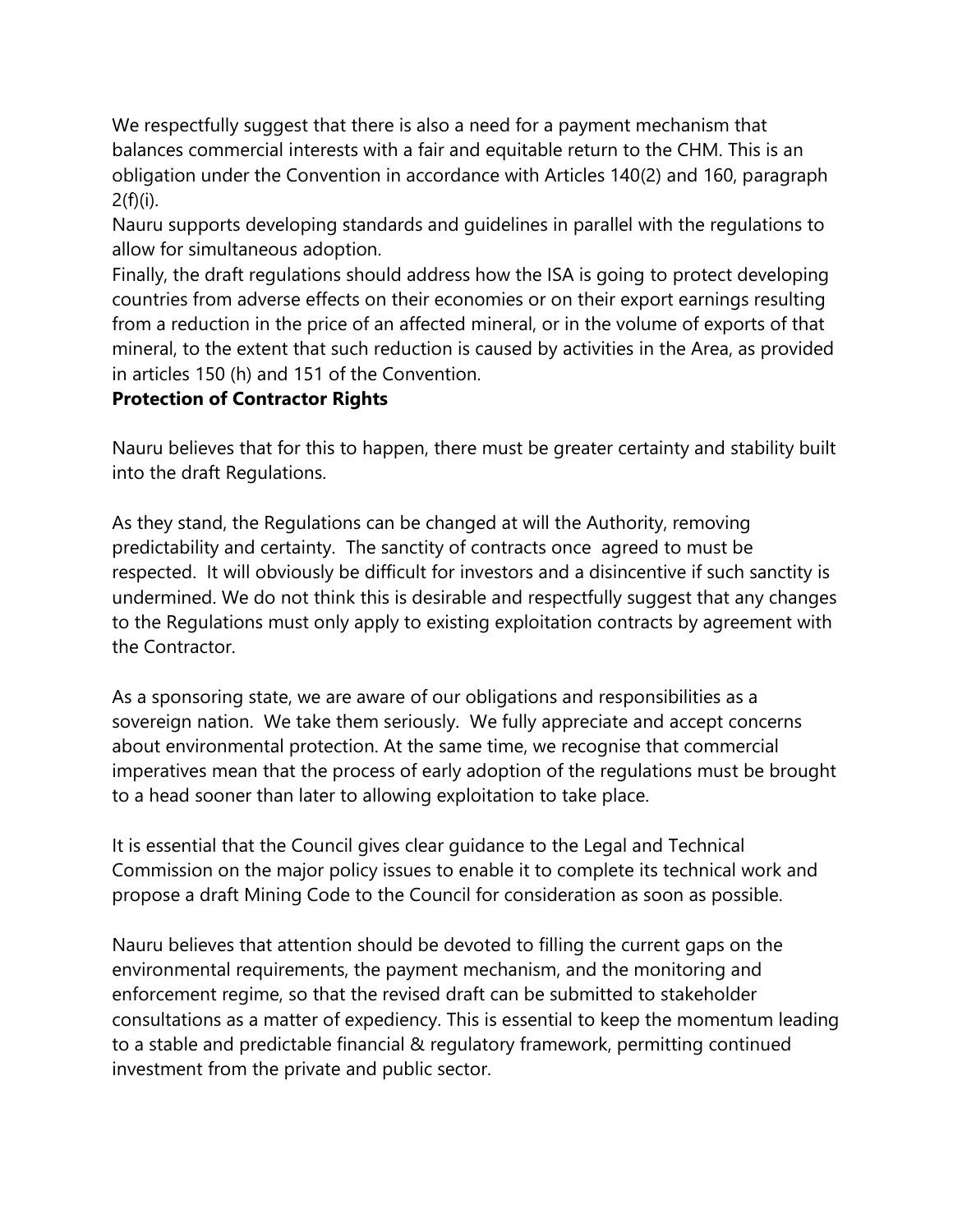We respectfully suggest that there is also a need for a payment mechanism that balances commercial interests with a fair and equitable return to the CHM. This is an obligation under the Convention in accordance with Articles 140(2) and 160, paragraph  $2(f)(i)$ .

Nauru supports developing standards and guidelines in parallel with the regulations to allow for simultaneous adoption.

Finally, the draft regulations should address how the ISA is going to protect developing countries from adverse effects on their economies or on their export earnings resulting from a reduction in the price of an affected mineral, or in the volume of exports of that mineral, to the extent that such reduction is caused by activities in the Area, as provided in articles 150 (h) and 151 of the Convention.

# **Protection of Contractor Rights**

Nauru believes that for this to happen, there must be greater certainty and stability built into the draft Regulations.

As they stand, the Regulations can be changed at will the Authority, removing predictability and certainty. The sanctity of contracts once agreed to must be respected. It will obviously be difficult for investors and a disincentive if such sanctity is undermined. We do not think this is desirable and respectfully suggest that any changes to the Regulations must only apply to existing exploitation contracts by agreement with the Contractor.

As a sponsoring state, we are aware of our obligations and responsibilities as a sovereign nation. We take them seriously. We fully appreciate and accept concerns about environmental protection. At the same time, we recognise that commercial imperatives mean that the process of early adoption of the regulations must be brought to a head sooner than later to allowing exploitation to take place.

It is essential that the Council gives clear guidance to the Legal and Technical Commission on the major policy issues to enable it to complete its technical work and propose a draft Mining Code to the Council for consideration as soon as possible.

Nauru believes that attention should be devoted to filling the current gaps on the environmental requirements, the payment mechanism, and the monitoring and enforcement regime, so that the revised draft can be submitted to stakeholder consultations as a matter of expediency. This is essential to keep the momentum leading to a stable and predictable financial & regulatory framework, permitting continued investment from the private and public sector.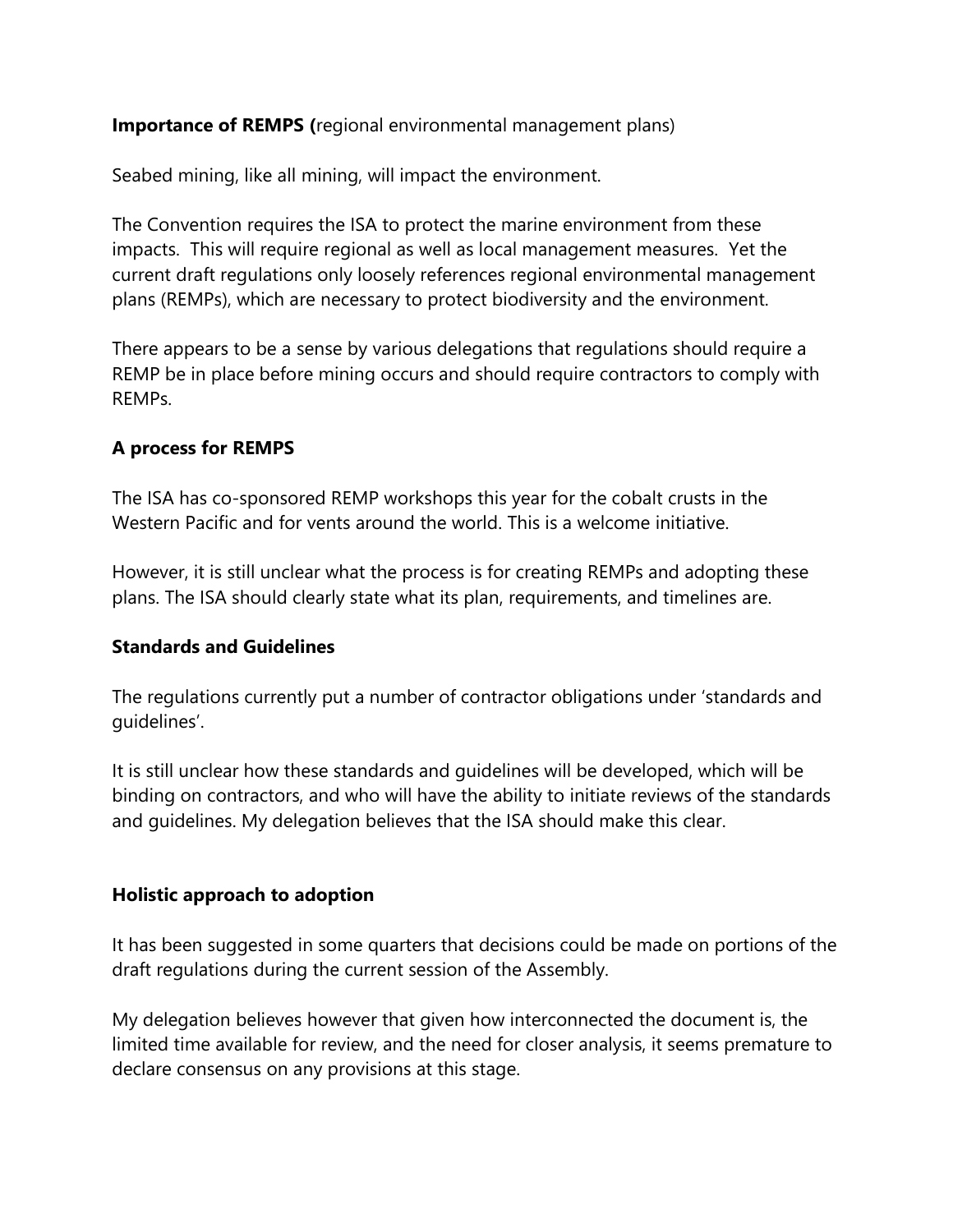**Importance of REMPS (**regional environmental management plans)

Seabed mining, like all mining, will impact the environment.

The Convention requires the ISA to protect the marine environment from these impacts. This will require regional as well as local management measures. Yet the current draft regulations only loosely references regional environmental management plans (REMPs), which are necessary to protect biodiversity and the environment.

There appears to be a sense by various delegations that regulations should require a REMP be in place before mining occurs and should require contractors to comply with REMPs.

# **A process for REMPS**

The ISA has co-sponsored REMP workshops this year for the cobalt crusts in the Western Pacific and for vents around the world. This is a welcome initiative.

However, it is still unclear what the process is for creating REMPs and adopting these plans. The ISA should clearly state what its plan, requirements, and timelines are.

### **Standards and Guidelines**

The regulations currently put a number of contractor obligations under 'standards and guidelines'.

It is still unclear how these standards and guidelines will be developed, which will be binding on contractors, and who will have the ability to initiate reviews of the standards and guidelines. My delegation believes that the ISA should make this clear.

### **Holistic approach to adoption**

It has been suggested in some quarters that decisions could be made on portions of the draft regulations during the current session of the Assembly.

My delegation believes however that given how interconnected the document is, the limited time available for review, and the need for closer analysis, it seems premature to declare consensus on any provisions at this stage.